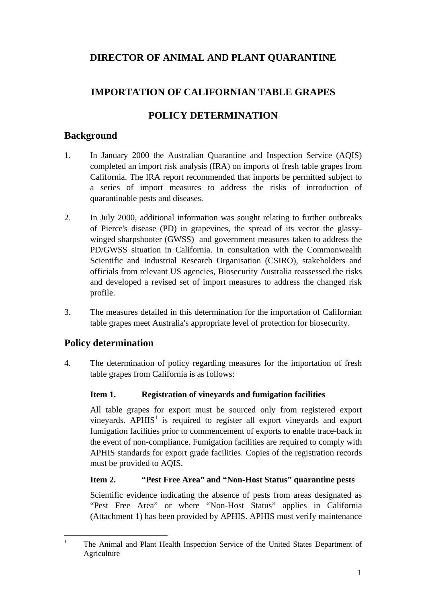# **DIRECTOR OF ANIMAL AND PLANT QUARANTINE**

# **IMPORTATION OF CALIFORNIAN TABLE GRAPES**

# **POLICY DETERMINATION**

## **Background**

- 1. In January 2000 the Australian Quarantine and Inspection Service (AQIS) completed an import risk analysis (IRA) on imports of fresh table grapes from California. The IRA report recommended that imports be permitted subject to a series of import measures to address the risks of introduction of quarantinable pests and diseases.
- 2. In July 2000, additional information was sought relating to further outbreaks of Pierce's disease (PD) in grapevines, the spread of its vector the glassywinged sharpshooter (GWSS) and government measures taken to address the PD/GWSS situation in California. In consultation with the Commonwealth Scientific and Industrial Research Organisation (CSIRO), stakeholders and officials from relevant US agencies, Biosecurity Australia reassessed the risks and developed a revised set of import measures to address the changed risk profile.
- 3. The measures detailed in this determination for the importation of Californian table grapes meet Australia's appropriate level of protection for biosecurity.

# **Policy determination**

4. The determination of policy regarding measures for the importation of fresh table grapes from California is as follows:

## **Item 1. Registration of vineyards and fumigation facilities**

All table grapes for export must be sourced only from registered export vineyards.  $APHIS<sup>1</sup>$  is required to register all export vineyards and export fumigation facilities prior to commencement of exports to enable trace-back in the event of non-compliance. Fumigation facilities are required to comply with APHIS standards for export grade facilities. Copies of the registration records must be provided to AQIS.

#### **Item 2. "Pest Free Area" and "Non-Host Status" quarantine pests**

Scientific evidence indicating the absence of pests from areas designated as "Pest Free Area" or where "Non-Host Status" applies in California (Attachment 1) has been provided by APHIS. APHIS must verify maintenance

 $\frac{1}{1}$  The Animal and Plant Health Inspection Service of the United States Department of Agriculture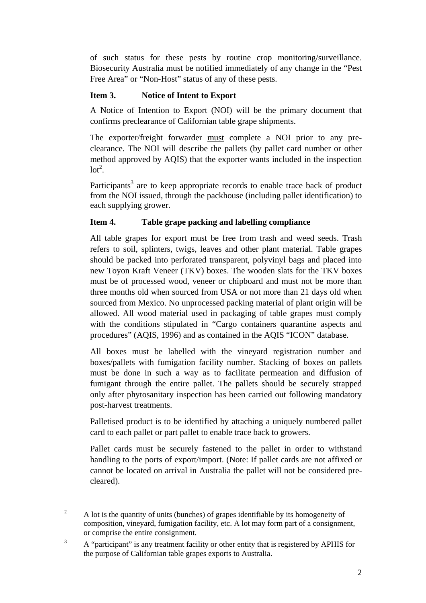of such status for these pests by routine crop monitoring/surveillance. Biosecurity Australia must be notified immediately of any change in the "Pest Free Area" or "Non-Host" status of any of these pests.

### **Item 3. Notice of Intent to Export**

A Notice of Intention to Export (NOI) will be the primary document that confirms preclearance of Californian table grape shipments.

The exporter/freight forwarder must complete a NOI prior to any preclearance. The NOI will describe the pallets (by pallet card number or other method approved by AQIS) that the exporter wants included in the inspection  $\text{lot}^2$ .

Participants<sup>3</sup> are to keep appropriate records to enable trace back of product from the NOI issued, through the packhouse (including pallet identification) to each supplying grower.

## **Item 4. Table grape packing and labelling compliance**

All table grapes for export must be free from trash and weed seeds. Trash refers to soil, splinters, twigs, leaves and other plant material. Table grapes should be packed into perforated transparent, polyvinyl bags and placed into new Toyon Kraft Veneer (TKV) boxes. The wooden slats for the TKV boxes must be of processed wood, veneer or chipboard and must not be more than three months old when sourced from USA or not more than 21 days old when sourced from Mexico. No unprocessed packing material of plant origin will be allowed. All wood material used in packaging of table grapes must comply with the conditions stipulated in "Cargo containers quarantine aspects and procedures" (AQIS, 1996) and as contained in the AQIS "ICON" database.

All boxes must be labelled with the vineyard registration number and boxes/pallets with fumigation facility number. Stacking of boxes on pallets must be done in such a way as to facilitate permeation and diffusion of fumigant through the entire pallet. The pallets should be securely strapped only after phytosanitary inspection has been carried out following mandatory post-harvest treatments.

Palletised product is to be identified by attaching a uniquely numbered pallet card to each pallet or part pallet to enable trace back to growers.

Pallet cards must be securely fastened to the pallet in order to withstand handling to the ports of export/import. (Note: If pallet cards are not affixed or cannot be located on arrival in Australia the pallet will not be considered precleared).

 $\frac{1}{2}$  A lot is the quantity of units (bunches) of grapes identifiable by its homogeneity of composition, vineyard, fumigation facility, etc. A lot may form part of a consignment, or comprise the entire consignment.

<sup>3</sup> A "participant" is any treatment facility or other entity that is registered by APHIS for the purpose of Californian table grapes exports to Australia.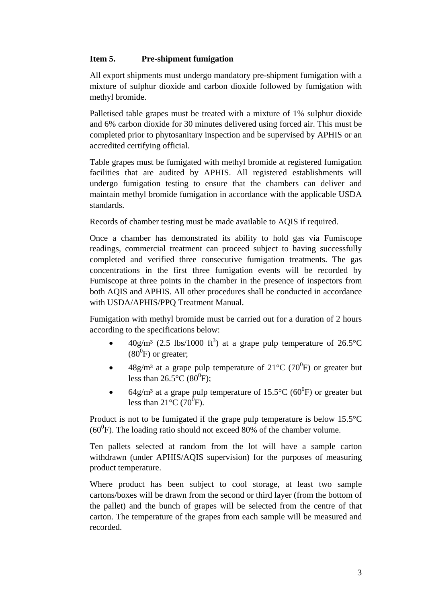### **Item 5. Pre-shipment fumigation**

All export shipments must undergo mandatory pre-shipment fumigation with a mixture of sulphur dioxide and carbon dioxide followed by fumigation with methyl bromide.

Palletised table grapes must be treated with a mixture of 1% sulphur dioxide and 6% carbon dioxide for 30 minutes delivered using forced air. This must be completed prior to phytosanitary inspection and be supervised by APHIS or an accredited certifying official.

Table grapes must be fumigated with methyl bromide at registered fumigation facilities that are audited by APHIS. All registered establishments will undergo fumigation testing to ensure that the chambers can deliver and maintain methyl bromide fumigation in accordance with the applicable USDA standards.

Records of chamber testing must be made available to AQIS if required.

Once a chamber has demonstrated its ability to hold gas via Fumiscope readings, commercial treatment can proceed subject to having successfully completed and verified three consecutive fumigation treatments. The gas concentrations in the first three fumigation events will be recorded by Fumiscope at three points in the chamber in the presence of inspectors from both AQIS and APHIS. All other procedures shall be conducted in accordance with USDA/APHIS/PPQ Treatment Manual.

Fumigation with methyl bromide must be carried out for a duration of 2 hours according to the specifications below:

- $40g/m^3$  (2.5 lbs/1000 ft<sup>3</sup>) at a grape pulp temperature of 26.5°C  $(80^0)$  or greater;
- 48g/m<sup>3</sup> at a grape pulp temperature of 21<sup>o</sup>C (70<sup>0</sup>F) or greater but less than  $26.5^{\circ}$ C (80<sup>0</sup>F);
- 64g/m<sup>3</sup> at a grape pulp temperature of 15.5°C (60<sup>0</sup>F) or greater but less than  $21^{\circ}$ C (70<sup>0</sup>F).

Product is not to be fumigated if the grape pulp temperature is below 15.5°C  $(60^0)$ F). The loading ratio should not exceed 80% of the chamber volume.

Ten pallets selected at random from the lot will have a sample carton withdrawn (under APHIS/AQIS supervision) for the purposes of measuring product temperature.

Where product has been subject to cool storage, at least two sample cartons/boxes will be drawn from the second or third layer (from the bottom of the pallet) and the bunch of grapes will be selected from the centre of that carton. The temperature of the grapes from each sample will be measured and recorded.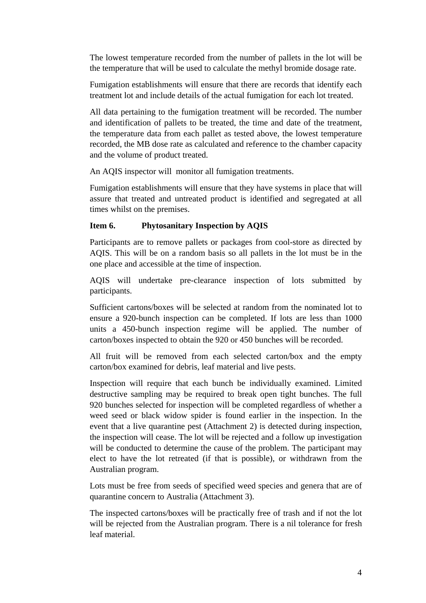The lowest temperature recorded from the number of pallets in the lot will be the temperature that will be used to calculate the methyl bromide dosage rate.

Fumigation establishments will ensure that there are records that identify each treatment lot and include details of the actual fumigation for each lot treated.

All data pertaining to the fumigation treatment will be recorded. The number and identification of pallets to be treated, the time and date of the treatment, the temperature data from each pallet as tested above, the lowest temperature recorded, the MB dose rate as calculated and reference to the chamber capacity and the volume of product treated.

An AQIS inspector will monitor all fumigation treatments.

Fumigation establishments will ensure that they have systems in place that will assure that treated and untreated product is identified and segregated at all times whilst on the premises.

#### **Item 6. Phytosanitary Inspection by AQIS**

Participants are to remove pallets or packages from cool-store as directed by AQIS. This will be on a random basis so all pallets in the lot must be in the one place and accessible at the time of inspection.

AQIS will undertake pre-clearance inspection of lots submitted by participants.

Sufficient cartons/boxes will be selected at random from the nominated lot to ensure a 920-bunch inspection can be completed. If lots are less than 1000 units a 450-bunch inspection regime will be applied. The number of carton/boxes inspected to obtain the 920 or 450 bunches will be recorded.

All fruit will be removed from each selected carton/box and the empty carton/box examined for debris, leaf material and live pests.

Inspection will require that each bunch be individually examined. Limited destructive sampling may be required to break open tight bunches. The full 920 bunches selected for inspection will be completed regardless of whether a weed seed or black widow spider is found earlier in the inspection. In the event that a live quarantine pest (Attachment 2) is detected during inspection, the inspection will cease. The lot will be rejected and a follow up investigation will be conducted to determine the cause of the problem. The participant may elect to have the lot retreated (if that is possible), or withdrawn from the Australian program.

Lots must be free from seeds of specified weed species and genera that are of quarantine concern to Australia (Attachment 3).

The inspected cartons/boxes will be practically free of trash and if not the lot will be rejected from the Australian program. There is a nil tolerance for fresh leaf material.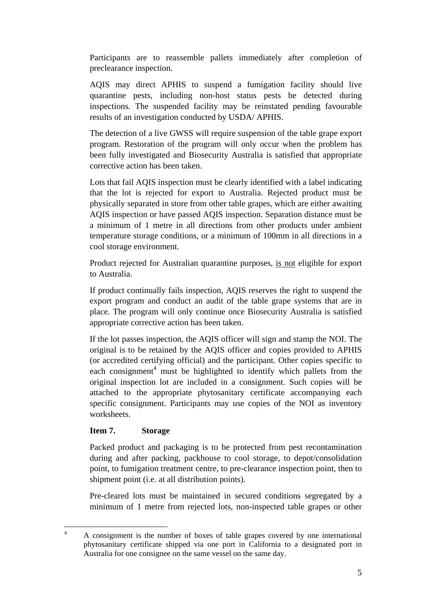Participants are to reassemble pallets immediately after completion of preclearance inspection.

AQIS may direct APHIS to suspend a fumigation facility should live quarantine pests, including non-host status pests be detected during inspections. The suspended facility may be reinstated pending favourable results of an investigation conducted by USDA/ APHIS.

The detection of a live GWSS will require suspension of the table grape export program. Restoration of the program will only occur when the problem has been fully investigated and Biosecurity Australia is satisfied that appropriate corrective action has been taken.

Lots that fail AQIS inspection must be clearly identified with a label indicating that the lot is rejected for export to Australia. Rejected product must be physically separated in store from other table grapes, which are either awaiting AQIS inspection or have passed AQIS inspection. Separation distance must be a minimum of 1 metre in all directions from other products under ambient temperature storage conditions, or a minimum of 100mm in all directions in a cool storage environment.

Product rejected for Australian quarantine purposes, is not eligible for export to Australia.

If product continually fails inspection, AQIS reserves the right to suspend the export program and conduct an audit of the table grape systems that are in place. The program will only continue once Biosecurity Australia is satisfied appropriate corrective action has been taken.

If the lot passes inspection, the AQIS officer will sign and stamp the NOI. The original is to be retained by the AQIS officer and copies provided to APHIS (or accredited certifying official) and the participant. Other copies specific to each consignment<sup>4</sup> must be highlighted to identify which pallets from the original inspection lot are included in a consignment. Such copies will be attached to the appropriate phytosanitary certificate accompanying each specific consignment. Participants may use copies of the NOI as inventory worksheets.

#### **Item 7. Storage**

Packed product and packaging is to be protected from pest recontamination during and after packing, packhouse to cool storage, to depot/consolidation point, to fumigation treatment centre, to pre-clearance inspection point, then to shipment point (i.e. at all distribution points).

Pre-cleared lots must be maintained in secured conditions segregated by a minimum of 1 metre from rejected lots, non-inspected table grapes or other

 $\frac{1}{4}$  A consignment is the number of boxes of table grapes covered by one international phytosanitary certificate shipped via one port in California to a designated port in Australia for one consignee on the same vessel on the same day.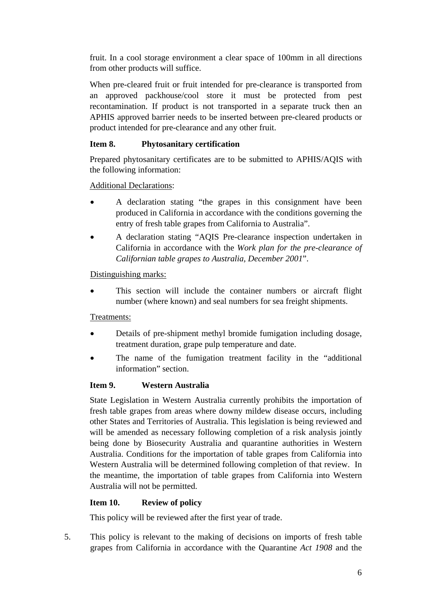fruit. In a cool storage environment a clear space of 100mm in all directions from other products will suffice.

When pre-cleared fruit or fruit intended for pre-clearance is transported from an approved packhouse/cool store it must be protected from pest recontamination. If product is not transported in a separate truck then an APHIS approved barrier needs to be inserted between pre-cleared products or product intended for pre-clearance and any other fruit.

### **Item 8. Phytosanitary certification**

Prepared phytosanitary certificates are to be submitted to APHIS/AQIS with the following information:

Additional Declarations:

- A declaration stating "the grapes in this consignment have been produced in California in accordance with the conditions governing the entry of fresh table grapes from California to Australia".
- A declaration stating "AQIS Pre-clearance inspection undertaken in California in accordance with the *Work plan for the pre-clearance of Californian table grapes to Australia, December 2001*".

## Distinguishing marks:

This section will include the container numbers or aircraft flight number (where known) and seal numbers for sea freight shipments.

#### Treatments:

- Details of pre-shipment methyl bromide fumigation including dosage, treatment duration, grape pulp temperature and date.
- The name of the fumigation treatment facility in the "additional information" section.

## **Item 9. Western Australia**

State Legislation in Western Australia currently prohibits the importation of fresh table grapes from areas where downy mildew disease occurs, including other States and Territories of Australia. This legislation is being reviewed and will be amended as necessary following completion of a risk analysis jointly being done by Biosecurity Australia and quarantine authorities in Western Australia. Conditions for the importation of table grapes from California into Western Australia will be determined following completion of that review. In the meantime, the importation of table grapes from California into Western Australia will not be permitted.

## **Item 10. Review of policy**

This policy will be reviewed after the first year of trade.

5. This policy is relevant to the making of decisions on imports of fresh table grapes from California in accordance with the Quarantine *Act 1908* and the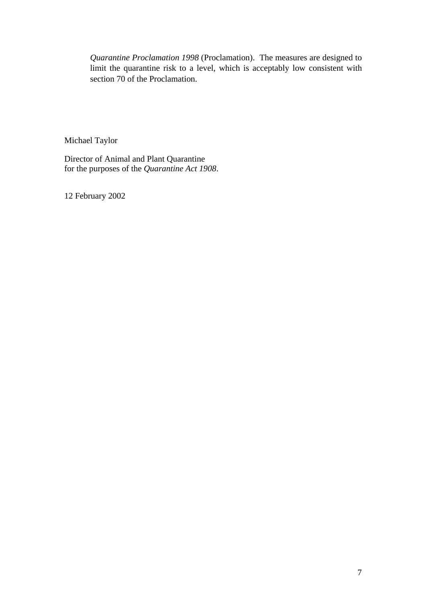*Quarantine Proclamation 1998* (Proclamation). The measures are designed to limit the quarantine risk to a level, which is acceptably low consistent with section 70 of the Proclamation.

Michael Taylor

Director of Animal and Plant Quarantine for the purposes of the *Quarantine Act 1908*.

12 February 2002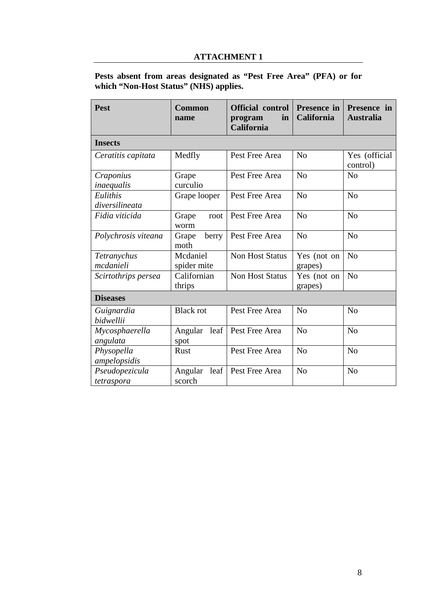#### **ATTACHMENT 1**

## **Pests absent from areas designated as "Pest Free Area" (PFA) or for which "Non-Host Status" (NHS) applies.**

| <b>Pest</b>                  | Common<br>name            | <b>Official control</b><br>in<br>program<br>California | Presence in<br>California | Presence in<br><b>Australia</b> |
|------------------------------|---------------------------|--------------------------------------------------------|---------------------------|---------------------------------|
| <b>Insects</b>               |                           |                                                        |                           |                                 |
| Ceratitis capitata           | Medfly                    | Pest Free Area                                         | N <sub>o</sub>            | Yes (official<br>control)       |
| Craponius<br>inaequalis      | Grape<br>curculio         | Pest Free Area                                         | N <sub>o</sub>            | N <sub>o</sub>                  |
| Eulithis<br>diversilineata   | Grape looper              | Pest Free Area                                         | N <sub>o</sub>            | N <sub>o</sub>                  |
| Fidia viticida               | Grape<br>root<br>worm     | Pest Free Area                                         | N <sub>o</sub>            | N <sub>o</sub>                  |
| Polychrosis viteana          | Grape<br>berry<br>moth    | Pest Free Area                                         | N <sub>o</sub>            | N <sub>o</sub>                  |
| Tetranychus<br>mcdanieli     | Mcdaniel<br>spider mite   | <b>Non Host Status</b>                                 | Yes (not on<br>grapes)    | N <sub>o</sub>                  |
| Scirtothrips persea          | Californian<br>thrips     | Non Host Status                                        | Yes (not on<br>grapes)    | N <sub>o</sub>                  |
| <b>Diseases</b>              |                           |                                                        |                           |                                 |
| Guignardia<br>bidwellii      | <b>Black rot</b>          | Pest Free Area                                         | N <sub>o</sub>            | N <sub>o</sub>                  |
| Mycosphaerella<br>angulata   | Angular<br>leaf<br>spot   | Pest Free Area                                         | N <sub>o</sub>            | N <sub>o</sub>                  |
| Physopella<br>ampelopsidis   | Rust                      | Pest Free Area                                         | N <sub>o</sub>            | No                              |
| Pseudopezicula<br>tetraspora | Angular<br>leaf<br>scorch | Pest Free Area                                         | N <sub>o</sub>            | N <sub>o</sub>                  |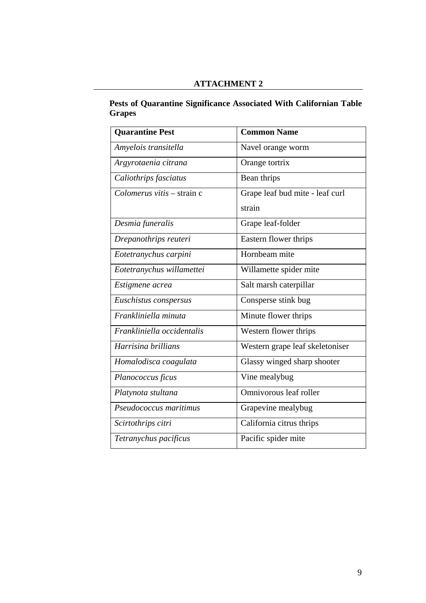## **ATTACHMENT 2**

#### **Pests of Quarantine Significance Associated With Californian Table Grapes**

| <b>Quarantine Pest</b>             | <b>Common Name</b>              |  |  |
|------------------------------------|---------------------------------|--|--|
| Amyelois transitella               | Navel orange worm               |  |  |
| Argyrotaenia citrana               | Orange tortrix                  |  |  |
| Caliothrips fasciatus              | Bean thrips                     |  |  |
| $Colomerus \, vitis - strain \, c$ | Grape leaf bud mite - leaf curl |  |  |
|                                    | strain                          |  |  |
| Desmia funeralis                   | Grape leaf-folder               |  |  |
| Drepanothrips reuteri              | Eastern flower thrips           |  |  |
| Eotetranychus carpini              | Hornbeam mite                   |  |  |
| Eotetranychus willamettei          | Willamette spider mite          |  |  |
| Estigmene acrea                    | Salt marsh caterpillar          |  |  |
| Euschistus conspersus              | Consperse stink bug             |  |  |
| Frankliniella minuta               | Minute flower thrips            |  |  |
| Frankliniella occidentalis         | Western flower thrips           |  |  |
| Harrisina brillians                | Western grape leaf skeletoniser |  |  |
| Homalodisca coagulata              | Glassy winged sharp shooter     |  |  |
| Planococcus ficus                  | Vine mealybug                   |  |  |
| Platynota stultana                 | Omnivorous leaf roller          |  |  |
| Pseudococcus maritimus             | Grapevine mealybug              |  |  |
| Scirtothrips citri                 | California citrus thrips        |  |  |
| Tetranychus pacificus              | Pacific spider mite             |  |  |